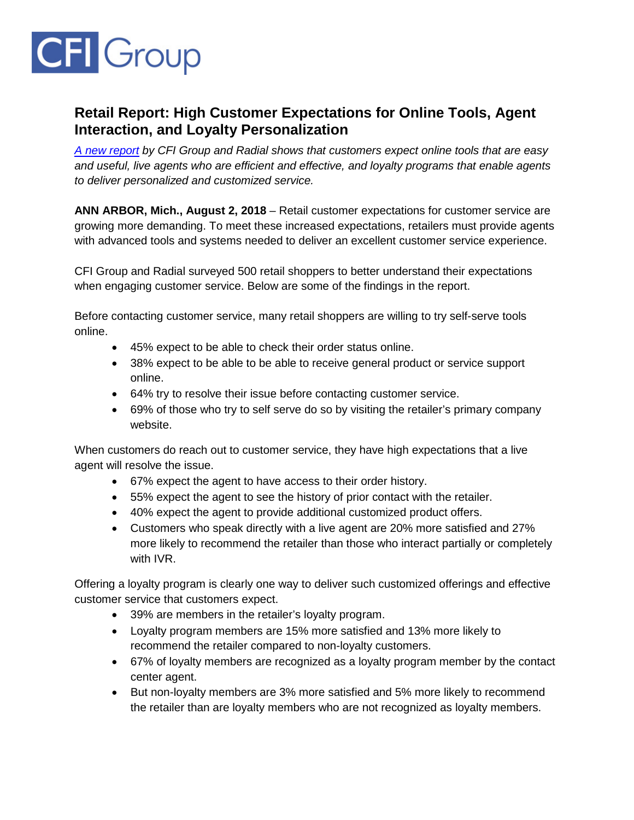

## **Retail Report: High Customer Expectations for Online Tools, Agent Interaction, and Loyalty Personalization**

*[A new report](https://cfigroup.com/resource-item/retail-report-august-2018/) by CFI Group and Radial shows that customers expect online tools that are easy and useful, live agents who are efficient and effective, and loyalty programs that enable agents to deliver personalized and customized service.*

**ANN ARBOR, Mich., August 2, 2018** – Retail customer expectations for customer service are growing more demanding. To meet these increased expectations, retailers must provide agents with advanced tools and systems needed to deliver an excellent customer service experience.

CFI Group and Radial surveyed 500 retail shoppers to better understand their expectations when engaging customer service. Below are some of the findings in the report.

Before contacting customer service, many retail shoppers are willing to try self-serve tools online.

- 45% expect to be able to check their order status online.
- 38% expect to be able to be able to receive general product or service support online.
- 64% try to resolve their issue before contacting customer service.
- 69% of those who try to self serve do so by visiting the retailer's primary company website.

When customers do reach out to customer service, they have high expectations that a live agent will resolve the issue.

- 67% expect the agent to have access to their order history.
- 55% expect the agent to see the history of prior contact with the retailer.
- 40% expect the agent to provide additional customized product offers.
- Customers who speak directly with a live agent are 20% more satisfied and 27% more likely to recommend the retailer than those who interact partially or completely with IVR.

Offering a loyalty program is clearly one way to deliver such customized offerings and effective customer service that customers expect.

- 39% are members in the retailer's loyalty program.
- Loyalty program members are 15% more satisfied and 13% more likely to recommend the retailer compared to non-loyalty customers.
- 67% of loyalty members are recognized as a loyalty program member by the contact center agent.
- But non-loyalty members are 3% more satisfied and 5% more likely to recommend the retailer than are loyalty members who are not recognized as loyalty members.